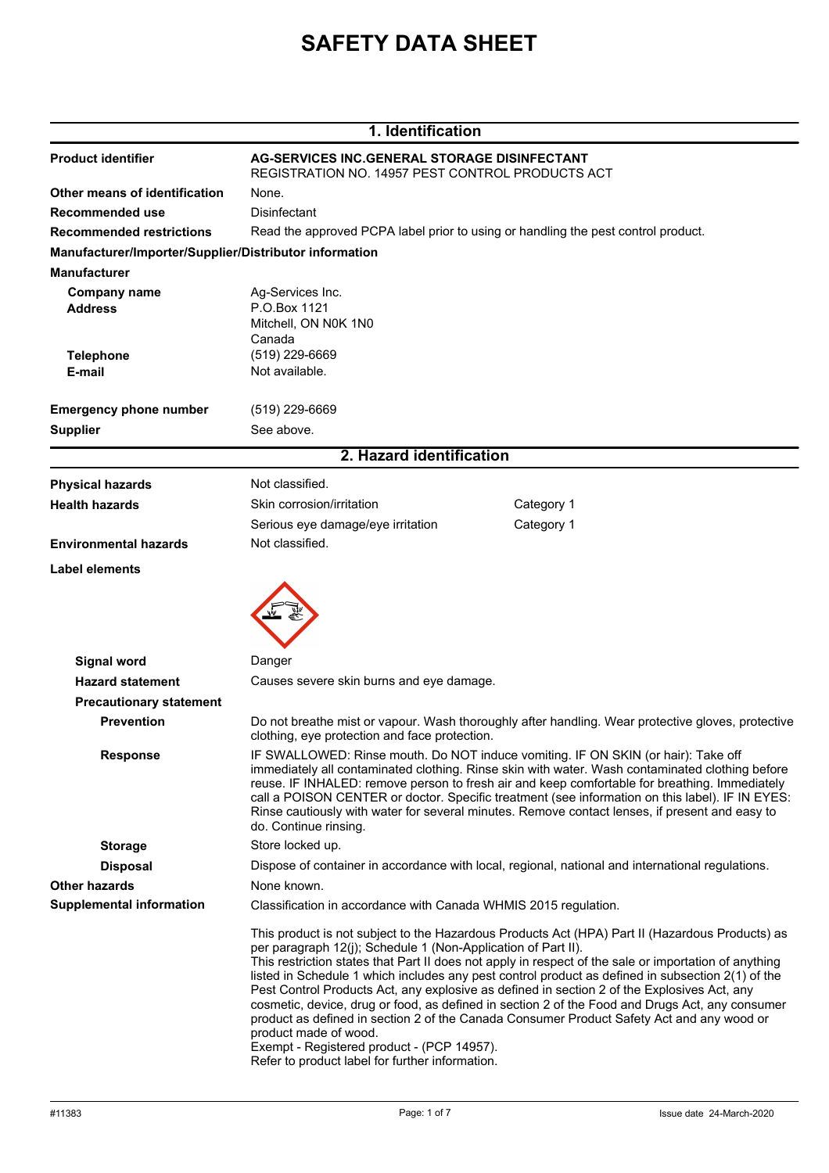# **SAFETY DATA SHEET**

| 1. Identification                                      |                                                                                                                                                                                                                                                                                                                                                                                                                                                                                                                     |                                                                                                                                                                                                                                                                                                                                                                                                                                                                                                                                                                                                              |  |
|--------------------------------------------------------|---------------------------------------------------------------------------------------------------------------------------------------------------------------------------------------------------------------------------------------------------------------------------------------------------------------------------------------------------------------------------------------------------------------------------------------------------------------------------------------------------------------------|--------------------------------------------------------------------------------------------------------------------------------------------------------------------------------------------------------------------------------------------------------------------------------------------------------------------------------------------------------------------------------------------------------------------------------------------------------------------------------------------------------------------------------------------------------------------------------------------------------------|--|
| <b>Product identifier</b>                              | <b>AG-SERVICES INC.GENERAL STORAGE DISINFECTANT</b><br>REGISTRATION NO. 14957 PEST CONTROL PRODUCTS ACT                                                                                                                                                                                                                                                                                                                                                                                                             |                                                                                                                                                                                                                                                                                                                                                                                                                                                                                                                                                                                                              |  |
| Other means of identification                          | None.                                                                                                                                                                                                                                                                                                                                                                                                                                                                                                               |                                                                                                                                                                                                                                                                                                                                                                                                                                                                                                                                                                                                              |  |
| Recommended use                                        | <b>Disinfectant</b>                                                                                                                                                                                                                                                                                                                                                                                                                                                                                                 |                                                                                                                                                                                                                                                                                                                                                                                                                                                                                                                                                                                                              |  |
| <b>Recommended restrictions</b>                        | Read the approved PCPA label prior to using or handling the pest control product.                                                                                                                                                                                                                                                                                                                                                                                                                                   |                                                                                                                                                                                                                                                                                                                                                                                                                                                                                                                                                                                                              |  |
| Manufacturer/Importer/Supplier/Distributor information |                                                                                                                                                                                                                                                                                                                                                                                                                                                                                                                     |                                                                                                                                                                                                                                                                                                                                                                                                                                                                                                                                                                                                              |  |
| <b>Manufacturer</b>                                    |                                                                                                                                                                                                                                                                                                                                                                                                                                                                                                                     |                                                                                                                                                                                                                                                                                                                                                                                                                                                                                                                                                                                                              |  |
| <b>Company name</b><br><b>Address</b>                  | Ag-Services Inc.<br>P.O.Box 1121<br>Mitchell, ON N0K 1N0<br>Canada                                                                                                                                                                                                                                                                                                                                                                                                                                                  |                                                                                                                                                                                                                                                                                                                                                                                                                                                                                                                                                                                                              |  |
| <b>Telephone</b>                                       | (519) 229-6669                                                                                                                                                                                                                                                                                                                                                                                                                                                                                                      |                                                                                                                                                                                                                                                                                                                                                                                                                                                                                                                                                                                                              |  |
| E-mail                                                 | Not available.                                                                                                                                                                                                                                                                                                                                                                                                                                                                                                      |                                                                                                                                                                                                                                                                                                                                                                                                                                                                                                                                                                                                              |  |
| <b>Emergency phone number</b>                          | (519) 229-6669                                                                                                                                                                                                                                                                                                                                                                                                                                                                                                      |                                                                                                                                                                                                                                                                                                                                                                                                                                                                                                                                                                                                              |  |
| <b>Supplier</b>                                        | See above.                                                                                                                                                                                                                                                                                                                                                                                                                                                                                                          |                                                                                                                                                                                                                                                                                                                                                                                                                                                                                                                                                                                                              |  |
|                                                        | 2. Hazard identification                                                                                                                                                                                                                                                                                                                                                                                                                                                                                            |                                                                                                                                                                                                                                                                                                                                                                                                                                                                                                                                                                                                              |  |
|                                                        |                                                                                                                                                                                                                                                                                                                                                                                                                                                                                                                     |                                                                                                                                                                                                                                                                                                                                                                                                                                                                                                                                                                                                              |  |
| <b>Physical hazards</b>                                | Not classified.                                                                                                                                                                                                                                                                                                                                                                                                                                                                                                     |                                                                                                                                                                                                                                                                                                                                                                                                                                                                                                                                                                                                              |  |
| <b>Health hazards</b>                                  | Skin corrosion/irritation                                                                                                                                                                                                                                                                                                                                                                                                                                                                                           | Category 1                                                                                                                                                                                                                                                                                                                                                                                                                                                                                                                                                                                                   |  |
|                                                        | Serious eye damage/eye irritation                                                                                                                                                                                                                                                                                                                                                                                                                                                                                   | Category 1                                                                                                                                                                                                                                                                                                                                                                                                                                                                                                                                                                                                   |  |
| <b>Environmental hazards</b>                           | Not classified.                                                                                                                                                                                                                                                                                                                                                                                                                                                                                                     |                                                                                                                                                                                                                                                                                                                                                                                                                                                                                                                                                                                                              |  |
|                                                        |                                                                                                                                                                                                                                                                                                                                                                                                                                                                                                                     |                                                                                                                                                                                                                                                                                                                                                                                                                                                                                                                                                                                                              |  |
| <b>Signal word</b>                                     | Danger                                                                                                                                                                                                                                                                                                                                                                                                                                                                                                              |                                                                                                                                                                                                                                                                                                                                                                                                                                                                                                                                                                                                              |  |
| <b>Hazard statement</b>                                | Causes severe skin burns and eye damage.                                                                                                                                                                                                                                                                                                                                                                                                                                                                            |                                                                                                                                                                                                                                                                                                                                                                                                                                                                                                                                                                                                              |  |
| <b>Precautionary statement</b>                         |                                                                                                                                                                                                                                                                                                                                                                                                                                                                                                                     |                                                                                                                                                                                                                                                                                                                                                                                                                                                                                                                                                                                                              |  |
| <b>Prevention</b>                                      | Do not breathe mist or vapour. Wash thoroughly after handling. Wear protective gloves, protective<br>clothing, eye protection and face protection.                                                                                                                                                                                                                                                                                                                                                                  |                                                                                                                                                                                                                                                                                                                                                                                                                                                                                                                                                                                                              |  |
| <b>Response</b>                                        | IF SWALLOWED: Rinse mouth. Do NOT induce vomiting. IF ON SKIN (or hair): Take off<br>immediately all contaminated clothing. Rinse skin with water. Wash contaminated clothing before<br>reuse. IF INHALED: remove person to fresh air and keep comfortable for breathing. Immediately<br>call a POISON CENTER or doctor. Specific treatment (see information on this label). IF IN EYES:<br>Rinse cautiously with water for several minutes. Remove contact lenses, if present and easy to<br>do. Continue rinsing. |                                                                                                                                                                                                                                                                                                                                                                                                                                                                                                                                                                                                              |  |
| <b>Storage</b>                                         | Store locked up.                                                                                                                                                                                                                                                                                                                                                                                                                                                                                                    |                                                                                                                                                                                                                                                                                                                                                                                                                                                                                                                                                                                                              |  |
| <b>Disposal</b>                                        |                                                                                                                                                                                                                                                                                                                                                                                                                                                                                                                     | Dispose of container in accordance with local, regional, national and international regulations.                                                                                                                                                                                                                                                                                                                                                                                                                                                                                                             |  |
| <b>Other hazards</b>                                   | None known.                                                                                                                                                                                                                                                                                                                                                                                                                                                                                                         |                                                                                                                                                                                                                                                                                                                                                                                                                                                                                                                                                                                                              |  |
| <b>Supplemental information</b>                        |                                                                                                                                                                                                                                                                                                                                                                                                                                                                                                                     | Classification in accordance with Canada WHMIS 2015 regulation.                                                                                                                                                                                                                                                                                                                                                                                                                                                                                                                                              |  |
|                                                        | per paragraph 12(j); Schedule 1 (Non-Application of Part II).<br>product made of wood.<br>Exempt - Registered product - (PCP 14957).<br>Refer to product label for further information.                                                                                                                                                                                                                                                                                                                             | This product is not subject to the Hazardous Products Act (HPA) Part II (Hazardous Products) as<br>This restriction states that Part II does not apply in respect of the sale or importation of anything<br>listed in Schedule 1 which includes any pest control product as defined in subsection 2(1) of the<br>Pest Control Products Act, any explosive as defined in section 2 of the Explosives Act, any<br>cosmetic, device, drug or food, as defined in section 2 of the Food and Drugs Act, any consumer<br>product as defined in section 2 of the Canada Consumer Product Safety Act and any wood or |  |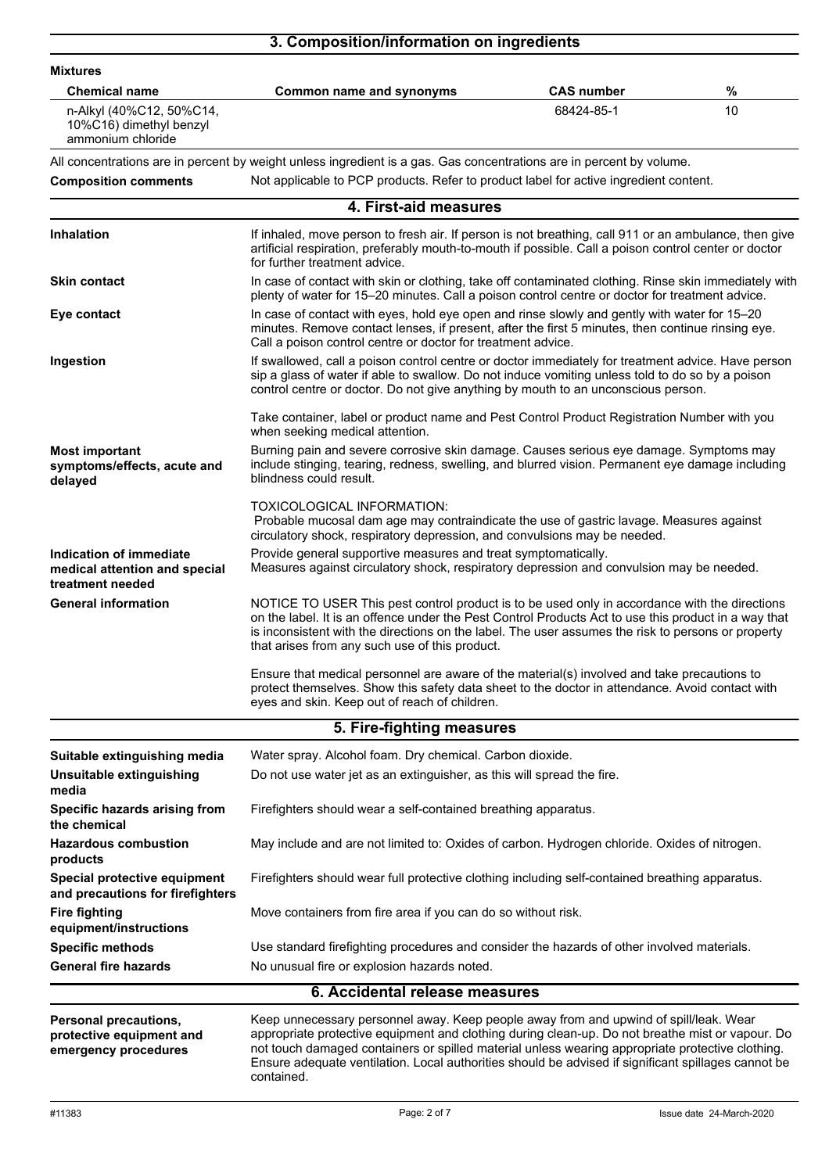## **3. Composition/information on ingredients**

| <b>Mixtures</b>                                                                  |                                                                                                                                                                                                                                                                                                                                                                                                                    |                                                                                                                                                                                                                                                                                             |    |  |
|----------------------------------------------------------------------------------|--------------------------------------------------------------------------------------------------------------------------------------------------------------------------------------------------------------------------------------------------------------------------------------------------------------------------------------------------------------------------------------------------------------------|---------------------------------------------------------------------------------------------------------------------------------------------------------------------------------------------------------------------------------------------------------------------------------------------|----|--|
| <b>Chemical name</b>                                                             | Common name and synonyms                                                                                                                                                                                                                                                                                                                                                                                           | <b>CAS number</b>                                                                                                                                                                                                                                                                           | %  |  |
| n-Alkyl (40%C12, 50%C14,<br>10%C16) dimethyl benzyl<br>ammonium chloride         |                                                                                                                                                                                                                                                                                                                                                                                                                    | 68424-85-1                                                                                                                                                                                                                                                                                  | 10 |  |
|                                                                                  | All concentrations are in percent by weight unless ingredient is a gas. Gas concentrations are in percent by volume.                                                                                                                                                                                                                                                                                               |                                                                                                                                                                                                                                                                                             |    |  |
| <b>Composition comments</b>                                                      | Not applicable to PCP products. Refer to product label for active ingredient content.                                                                                                                                                                                                                                                                                                                              |                                                                                                                                                                                                                                                                                             |    |  |
|                                                                                  | 4. First-aid measures                                                                                                                                                                                                                                                                                                                                                                                              |                                                                                                                                                                                                                                                                                             |    |  |
| Inhalation                                                                       | If inhaled, move person to fresh air. If person is not breathing, call 911 or an ambulance, then give<br>artificial respiration, preferably mouth-to-mouth if possible. Call a poison control center or doctor<br>for further treatment advice.                                                                                                                                                                    |                                                                                                                                                                                                                                                                                             |    |  |
| <b>Skin contact</b>                                                              | In case of contact with skin or clothing, take off contaminated clothing. Rinse skin immediately with<br>plenty of water for 15-20 minutes. Call a poison control centre or doctor for treatment advice.                                                                                                                                                                                                           |                                                                                                                                                                                                                                                                                             |    |  |
| Eye contact                                                                      | In case of contact with eyes, hold eye open and rinse slowly and gently with water for 15-20<br>minutes. Remove contact lenses, if present, after the first 5 minutes, then continue rinsing eye.<br>Call a poison control centre or doctor for treatment advice.                                                                                                                                                  |                                                                                                                                                                                                                                                                                             |    |  |
| Ingestion                                                                        |                                                                                                                                                                                                                                                                                                                                                                                                                    | If swallowed, call a poison control centre or doctor immediately for treatment advice. Have person<br>sip a glass of water if able to swallow. Do not induce vomiting unless told to do so by a poison<br>control centre or doctor. Do not give anything by mouth to an unconscious person. |    |  |
|                                                                                  | Take container, label or product name and Pest Control Product Registration Number with you<br>when seeking medical attention.                                                                                                                                                                                                                                                                                     |                                                                                                                                                                                                                                                                                             |    |  |
| <b>Most important</b><br>symptoms/effects, acute and<br>delayed                  | Burning pain and severe corrosive skin damage. Causes serious eye damage. Symptoms may<br>include stinging, tearing, redness, swelling, and blurred vision. Permanent eye damage including<br>blindness could result.                                                                                                                                                                                              |                                                                                                                                                                                                                                                                                             |    |  |
|                                                                                  | TOXICOLOGICAL INFORMATION:<br>Probable mucosal dam age may contraindicate the use of gastric lavage. Measures against<br>circulatory shock, respiratory depression, and convulsions may be needed.                                                                                                                                                                                                                 |                                                                                                                                                                                                                                                                                             |    |  |
| Indication of immediate<br>medical attention and special<br>treatment needed     | Provide general supportive measures and treat symptomatically.<br>Measures against circulatory shock, respiratory depression and convulsion may be needed.                                                                                                                                                                                                                                                         |                                                                                                                                                                                                                                                                                             |    |  |
| <b>General information</b>                                                       | NOTICE TO USER This pest control product is to be used only in accordance with the directions<br>on the label. It is an offence under the Pest Control Products Act to use this product in a way that<br>is inconsistent with the directions on the label. The user assumes the risk to persons or property<br>that arises from any such use of this product.                                                      |                                                                                                                                                                                                                                                                                             |    |  |
|                                                                                  | Ensure that medical personnel are aware of the material(s) involved and take precautions to<br>protect themselves. Show this safety data sheet to the doctor in attendance. Avoid contact with<br>eyes and skin. Keep out of reach of children.                                                                                                                                                                    |                                                                                                                                                                                                                                                                                             |    |  |
|                                                                                  | 5. Fire-fighting measures                                                                                                                                                                                                                                                                                                                                                                                          |                                                                                                                                                                                                                                                                                             |    |  |
| Suitable extinguishing media                                                     | Water spray. Alcohol foam. Dry chemical. Carbon dioxide.                                                                                                                                                                                                                                                                                                                                                           |                                                                                                                                                                                                                                                                                             |    |  |
| Unsuitable extinguishing<br>media                                                | Do not use water jet as an extinguisher, as this will spread the fire.                                                                                                                                                                                                                                                                                                                                             |                                                                                                                                                                                                                                                                                             |    |  |
| Specific hazards arising from<br>the chemical                                    | Firefighters should wear a self-contained breathing apparatus.                                                                                                                                                                                                                                                                                                                                                     |                                                                                                                                                                                                                                                                                             |    |  |
| <b>Hazardous combustion</b><br>products                                          | May include and are not limited to: Oxides of carbon. Hydrogen chloride. Oxides of nitrogen.                                                                                                                                                                                                                                                                                                                       |                                                                                                                                                                                                                                                                                             |    |  |
| Special protective equipment<br>and precautions for firefighters                 | Firefighters should wear full protective clothing including self-contained breathing apparatus.                                                                                                                                                                                                                                                                                                                    |                                                                                                                                                                                                                                                                                             |    |  |
| <b>Fire fighting</b><br>equipment/instructions                                   | Move containers from fire area if you can do so without risk.                                                                                                                                                                                                                                                                                                                                                      |                                                                                                                                                                                                                                                                                             |    |  |
| <b>Specific methods</b>                                                          | Use standard firefighting procedures and consider the hazards of other involved materials.                                                                                                                                                                                                                                                                                                                         |                                                                                                                                                                                                                                                                                             |    |  |
| <b>General fire hazards</b>                                                      | No unusual fire or explosion hazards noted.                                                                                                                                                                                                                                                                                                                                                                        |                                                                                                                                                                                                                                                                                             |    |  |
|                                                                                  | 6. Accidental release measures                                                                                                                                                                                                                                                                                                                                                                                     |                                                                                                                                                                                                                                                                                             |    |  |
| <b>Personal precautions,</b><br>protective equipment and<br>emergency procedures | Keep unnecessary personnel away. Keep people away from and upwind of spill/leak. Wear<br>appropriate protective equipment and clothing during clean-up. Do not breathe mist or vapour. Do<br>not touch damaged containers or spilled material unless wearing appropriate protective clothing.<br>Ensure adequate ventilation. Local authorities should be advised if significant spillages cannot be<br>contained. |                                                                                                                                                                                                                                                                                             |    |  |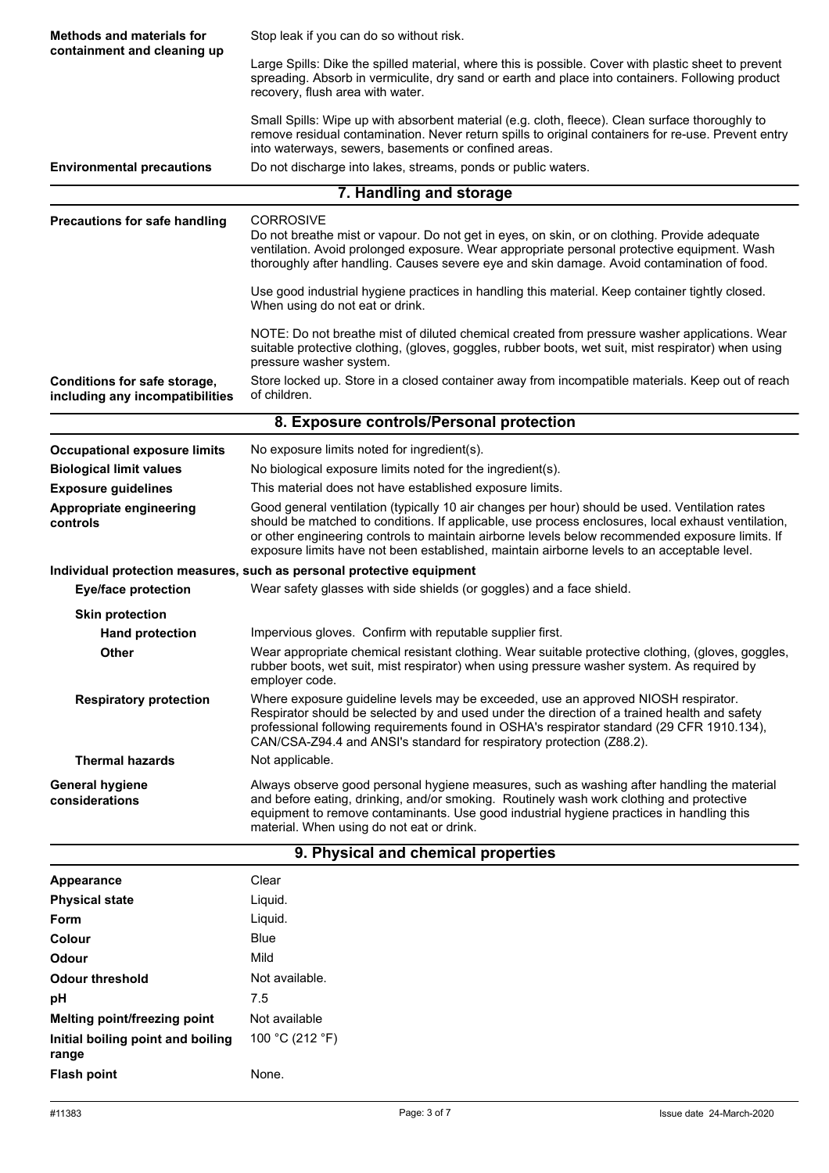| <b>Methods and materials for</b>                                | Stop leak if you can do so without risk.                                                                                                                                                                                                                                                                                                                                                               |  |
|-----------------------------------------------------------------|--------------------------------------------------------------------------------------------------------------------------------------------------------------------------------------------------------------------------------------------------------------------------------------------------------------------------------------------------------------------------------------------------------|--|
| containment and cleaning up                                     | Large Spills: Dike the spilled material, where this is possible. Cover with plastic sheet to prevent                                                                                                                                                                                                                                                                                                   |  |
|                                                                 | spreading. Absorb in vermiculite, dry sand or earth and place into containers. Following product                                                                                                                                                                                                                                                                                                       |  |
|                                                                 | recovery, flush area with water.                                                                                                                                                                                                                                                                                                                                                                       |  |
|                                                                 | Small Spills: Wipe up with absorbent material (e.g. cloth, fleece). Clean surface thoroughly to<br>remove residual contamination. Never return spills to original containers for re-use. Prevent entry<br>into waterways, sewers, basements or confined areas.                                                                                                                                         |  |
| <b>Environmental precautions</b>                                | Do not discharge into lakes, streams, ponds or public waters.                                                                                                                                                                                                                                                                                                                                          |  |
|                                                                 | 7. Handling and storage                                                                                                                                                                                                                                                                                                                                                                                |  |
|                                                                 |                                                                                                                                                                                                                                                                                                                                                                                                        |  |
| <b>Precautions for safe handling</b>                            | <b>CORROSIVE</b><br>Do not breathe mist or vapour. Do not get in eyes, on skin, or on clothing. Provide adequate<br>ventilation. Avoid prolonged exposure. Wear appropriate personal protective equipment. Wash<br>thoroughly after handling. Causes severe eye and skin damage. Avoid contamination of food.                                                                                          |  |
|                                                                 | Use good industrial hygiene practices in handling this material. Keep container tightly closed.<br>When using do not eat or drink.                                                                                                                                                                                                                                                                     |  |
|                                                                 | NOTE: Do not breathe mist of diluted chemical created from pressure washer applications. Wear<br>suitable protective clothing, (gloves, goggles, rubber boots, wet suit, mist respirator) when using<br>pressure washer system.                                                                                                                                                                        |  |
| Conditions for safe storage,<br>including any incompatibilities | Store locked up. Store in a closed container away from incompatible materials. Keep out of reach<br>of children.                                                                                                                                                                                                                                                                                       |  |
|                                                                 | 8. Exposure controls/Personal protection                                                                                                                                                                                                                                                                                                                                                               |  |
| <b>Occupational exposure limits</b>                             | No exposure limits noted for ingredient(s).                                                                                                                                                                                                                                                                                                                                                            |  |
| <b>Biological limit values</b>                                  | No biological exposure limits noted for the ingredient(s).                                                                                                                                                                                                                                                                                                                                             |  |
| <b>Exposure guidelines</b>                                      | This material does not have established exposure limits.                                                                                                                                                                                                                                                                                                                                               |  |
| Appropriate engineering<br>controls                             | Good general ventilation (typically 10 air changes per hour) should be used. Ventilation rates<br>should be matched to conditions. If applicable, use process enclosures, local exhaust ventilation,<br>or other engineering controls to maintain airborne levels below recommended exposure limits. If<br>exposure limits have not been established, maintain airborne levels to an acceptable level. |  |
|                                                                 | Individual protection measures, such as personal protective equipment                                                                                                                                                                                                                                                                                                                                  |  |
| <b>Eye/face protection</b>                                      | Wear safety glasses with side shields (or goggles) and a face shield.                                                                                                                                                                                                                                                                                                                                  |  |
| <b>Skin protection</b>                                          |                                                                                                                                                                                                                                                                                                                                                                                                        |  |
| <b>Hand protection</b>                                          | Impervious gloves. Confirm with reputable supplier first.                                                                                                                                                                                                                                                                                                                                              |  |
| Other                                                           | Wear appropriate chemical resistant clothing. Wear suitable protective clothing, (gloves, goggles,<br>rubber boots, wet suit, mist respirator) when using pressure washer system. As required by<br>employer code.                                                                                                                                                                                     |  |
| <b>Respiratory protection</b>                                   | Where exposure guideline levels may be exceeded, use an approved NIOSH respirator.<br>Respirator should be selected by and used under the direction of a trained health and safety<br>professional following requirements found in OSHA's respirator standard (29 CFR 1910.134),<br>CAN/CSA-Z94.4 and ANSI's standard for respiratory protection (Z88.2).                                              |  |
| <b>Thermal hazards</b>                                          | Not applicable.                                                                                                                                                                                                                                                                                                                                                                                        |  |
| <b>General hygiene</b><br>considerations                        | Always observe good personal hygiene measures, such as washing after handling the material<br>and before eating, drinking, and/or smoking. Routinely wash work clothing and protective<br>equipment to remove contaminants. Use good industrial hygiene practices in handling this<br>material. When using do not eat or drink.                                                                        |  |
|                                                                 | 9. Physical and chemical properties                                                                                                                                                                                                                                                                                                                                                                    |  |
| Appearance                                                      | Clear                                                                                                                                                                                                                                                                                                                                                                                                  |  |
| <b>Physical state</b>                                           | Liquid.                                                                                                                                                                                                                                                                                                                                                                                                |  |
| Form                                                            | Liquid.                                                                                                                                                                                                                                                                                                                                                                                                |  |
| <b>Colour</b>                                                   | <b>Blue</b>                                                                                                                                                                                                                                                                                                                                                                                            |  |
| <b>Odour</b>                                                    | Mild                                                                                                                                                                                                                                                                                                                                                                                                   |  |
| <b>Odour threshold</b>                                          | Not available.                                                                                                                                                                                                                                                                                                                                                                                         |  |
| pH                                                              | 7.5                                                                                                                                                                                                                                                                                                                                                                                                    |  |
| Melting point/freezing point                                    | Not available                                                                                                                                                                                                                                                                                                                                                                                          |  |
| Initial boiling point and boiling<br>range                      | 100 °C (212 °F)                                                                                                                                                                                                                                                                                                                                                                                        |  |
| <b>Flash point</b>                                              | None.                                                                                                                                                                                                                                                                                                                                                                                                  |  |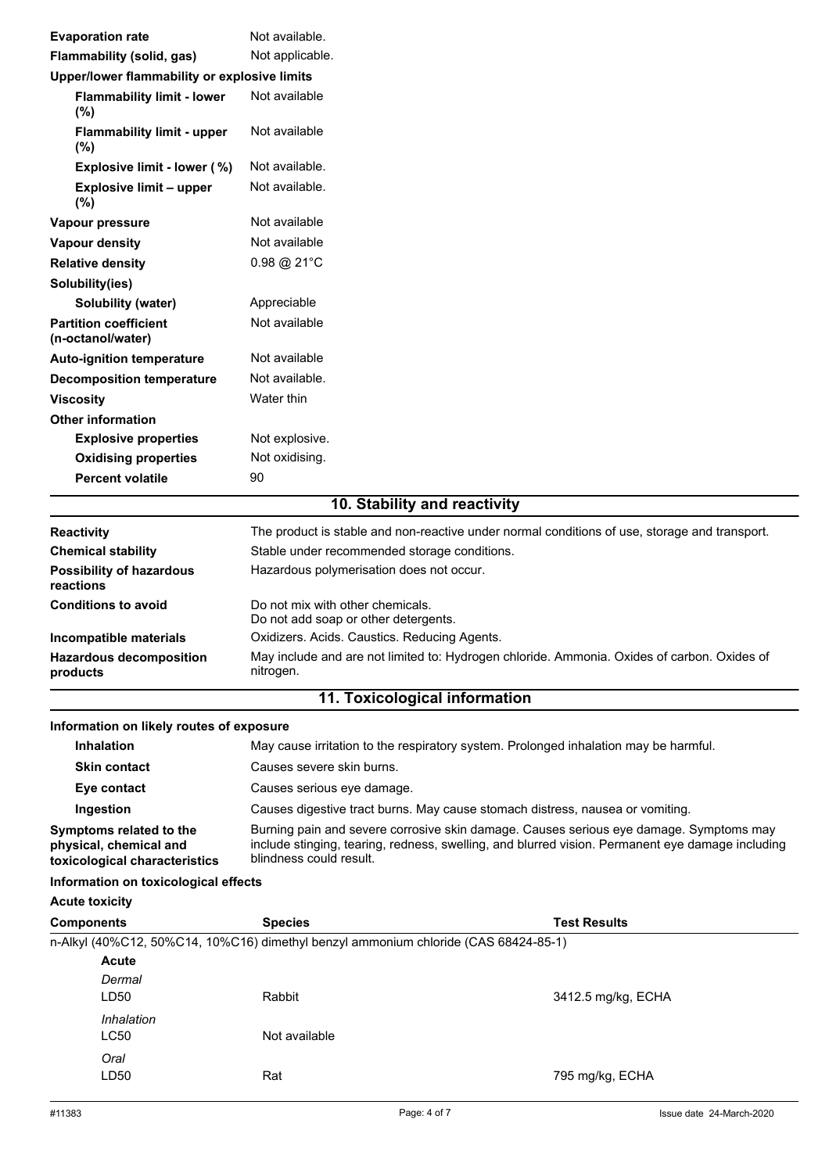| <b>Evaporation rate</b>                           | Not available.                                                                                |
|---------------------------------------------------|-----------------------------------------------------------------------------------------------|
| <b>Flammability (solid, gas)</b>                  | Not applicable.                                                                               |
| Upper/lower flammability or explosive limits      |                                                                                               |
| <b>Flammability limit - lower</b><br>(%)          | Not available                                                                                 |
| <b>Flammability limit - upper</b><br>(%)          | Not available                                                                                 |
| Explosive limit - lower (%)                       | Not available.                                                                                |
| <b>Explosive limit - upper</b><br>(%)             | Not available.                                                                                |
| Vapour pressure                                   | Not available                                                                                 |
| <b>Vapour density</b>                             | Not available                                                                                 |
| <b>Relative density</b>                           | $0.98 \text{ @ } 21^{\circ} \text{C}$                                                         |
| Solubility(ies)                                   |                                                                                               |
| Solubility (water)                                | Appreciable                                                                                   |
| <b>Partition coefficient</b><br>(n-octanol/water) | Not available                                                                                 |
| <b>Auto-ignition temperature</b>                  | Not available                                                                                 |
| <b>Decomposition temperature</b>                  | Not available.                                                                                |
| <b>Viscosity</b>                                  | Water thin                                                                                    |
| <b>Other information</b>                          |                                                                                               |
| <b>Explosive properties</b>                       | Not explosive.                                                                                |
| <b>Oxidising properties</b>                       | Not oxidising.                                                                                |
| <b>Percent volatile</b>                           | 90                                                                                            |
|                                                   | 10. Stability and reactivity                                                                  |
| <b>Reactivity</b>                                 | The product is stable and non-reactive under normal conditions of use, storage and transport. |
| <b>Chemical stability</b>                         | Stable under recommended storage conditions.                                                  |
| <b>Possibility of hazardous</b><br>reactions      | Hazardous polymerisation does not occur.                                                      |
| <b>Conditions to avoid</b>                        | Do not mix with other chemicals.                                                              |

|                                            | Do not add soap or other detergents.                                                                     |
|--------------------------------------------|----------------------------------------------------------------------------------------------------------|
| Incompatible materials                     | Oxidizers. Acids. Caustics. Reducing Agents.                                                             |
| <b>Hazardous decomposition</b><br>products | May include and are not limited to: Hydrogen chloride. Ammonia. Oxides of carbon. Oxides of<br>nitrogen. |

## **11. Toxicological information**

### **Information on likely routes of exposure**

| <b>Inhalation</b>                                                                  | May cause irritation to the respiratory system. Prolonged inhalation may be harmful.                                                                                                                                  |
|------------------------------------------------------------------------------------|-----------------------------------------------------------------------------------------------------------------------------------------------------------------------------------------------------------------------|
| <b>Skin contact</b>                                                                | Causes severe skin burns.                                                                                                                                                                                             |
| Eye contact                                                                        | Causes serious eye damage.                                                                                                                                                                                            |
| Ingestion                                                                          | Causes digestive tract burns. May cause stomach distress, nausea or vomiting.                                                                                                                                         |
| Symptoms related to the<br>physical, chemical and<br>toxicological characteristics | Burning pain and severe corrosive skin damage. Causes serious eye damage. Symptoms may<br>include stinging, tearing, redness, swelling, and blurred vision. Permanent eye damage including<br>blindness could result. |

## **Information on toxicological effects**

| <b>Acute toxicity</b> |  |
|-----------------------|--|
|                       |  |

| Components   | <b>Species</b>                                                                      | <b>Test Results</b> |  |
|--------------|-------------------------------------------------------------------------------------|---------------------|--|
|              | n-Alkyl (40%C12, 50%C14, 10%C16) dimethyl benzyl ammonium chloride (CAS 68424-85-1) |                     |  |
| <b>Acute</b> |                                                                                     |                     |  |
| Dermal       |                                                                                     |                     |  |
| LD50         | Rabbit                                                                              | 3412.5 mg/kg, ECHA  |  |
| Inhalation   |                                                                                     |                     |  |
| LC50         | Not available                                                                       |                     |  |
| Oral         |                                                                                     |                     |  |
| LD50         | Rat                                                                                 | 795 mg/kg, ECHA     |  |
|              |                                                                                     |                     |  |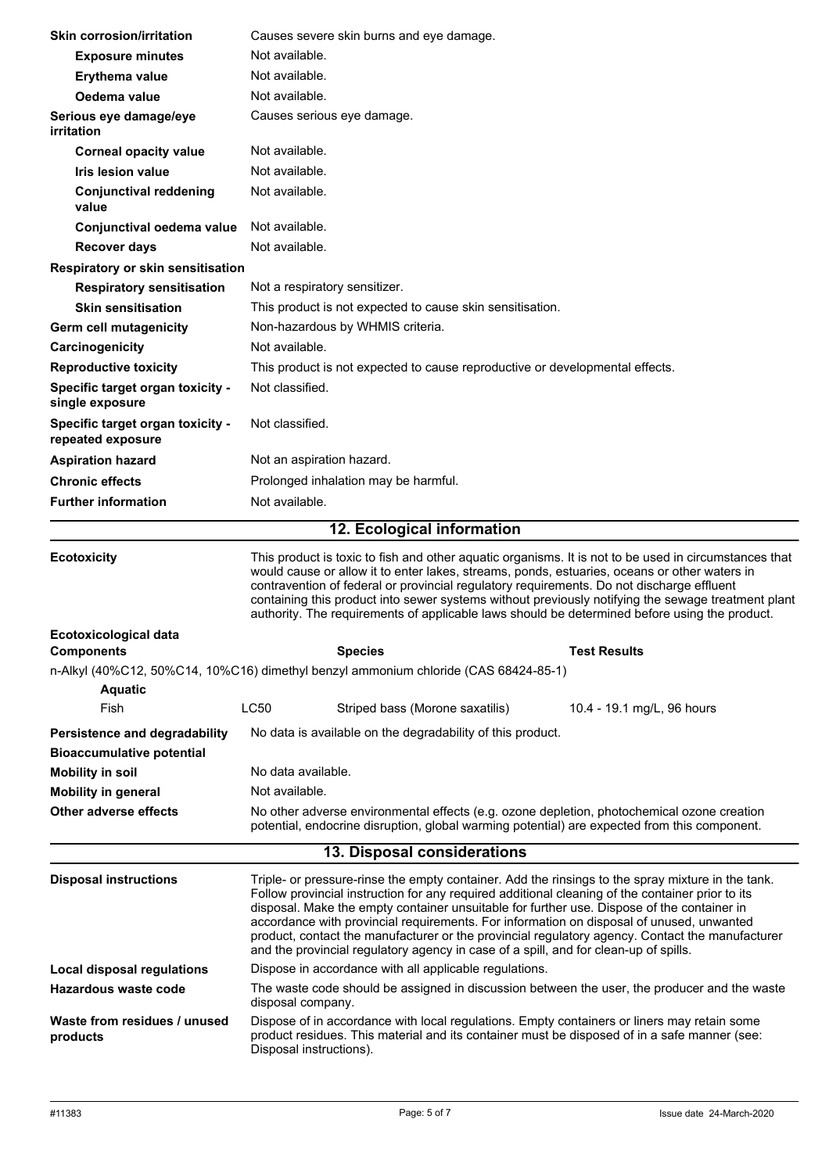|                                                       |                                                                                                                                                                                                                                                                                                                                                                                                                                                                                                           | Causes severe skin burns and eye damage.                                                                                                                                                                                                                                                                                                                                           |                                                                                                                                                                                                      |
|-------------------------------------------------------|-----------------------------------------------------------------------------------------------------------------------------------------------------------------------------------------------------------------------------------------------------------------------------------------------------------------------------------------------------------------------------------------------------------------------------------------------------------------------------------------------------------|------------------------------------------------------------------------------------------------------------------------------------------------------------------------------------------------------------------------------------------------------------------------------------------------------------------------------------------------------------------------------------|------------------------------------------------------------------------------------------------------------------------------------------------------------------------------------------------------|
| <b>Exposure minutes</b>                               | Not available.                                                                                                                                                                                                                                                                                                                                                                                                                                                                                            |                                                                                                                                                                                                                                                                                                                                                                                    |                                                                                                                                                                                                      |
| Erythema value                                        |                                                                                                                                                                                                                                                                                                                                                                                                                                                                                                           | Not available.                                                                                                                                                                                                                                                                                                                                                                     |                                                                                                                                                                                                      |
| Oedema value                                          |                                                                                                                                                                                                                                                                                                                                                                                                                                                                                                           | Not available.                                                                                                                                                                                                                                                                                                                                                                     |                                                                                                                                                                                                      |
| Serious eye damage/eye<br>irritation                  |                                                                                                                                                                                                                                                                                                                                                                                                                                                                                                           | Causes serious eye damage.                                                                                                                                                                                                                                                                                                                                                         |                                                                                                                                                                                                      |
| <b>Corneal opacity value</b>                          |                                                                                                                                                                                                                                                                                                                                                                                                                                                                                                           | Not available.                                                                                                                                                                                                                                                                                                                                                                     |                                                                                                                                                                                                      |
| <b>Iris lesion value</b>                              | Not available.                                                                                                                                                                                                                                                                                                                                                                                                                                                                                            |                                                                                                                                                                                                                                                                                                                                                                                    |                                                                                                                                                                                                      |
| <b>Conjunctival reddening</b><br>value                | Not available.                                                                                                                                                                                                                                                                                                                                                                                                                                                                                            |                                                                                                                                                                                                                                                                                                                                                                                    |                                                                                                                                                                                                      |
| Conjunctival oedema value                             | Not available.                                                                                                                                                                                                                                                                                                                                                                                                                                                                                            |                                                                                                                                                                                                                                                                                                                                                                                    |                                                                                                                                                                                                      |
| <b>Recover days</b>                                   | Not available.                                                                                                                                                                                                                                                                                                                                                                                                                                                                                            |                                                                                                                                                                                                                                                                                                                                                                                    |                                                                                                                                                                                                      |
| Respiratory or skin sensitisation                     |                                                                                                                                                                                                                                                                                                                                                                                                                                                                                                           |                                                                                                                                                                                                                                                                                                                                                                                    |                                                                                                                                                                                                      |
| <b>Respiratory sensitisation</b>                      |                                                                                                                                                                                                                                                                                                                                                                                                                                                                                                           | Not a respiratory sensitizer.                                                                                                                                                                                                                                                                                                                                                      |                                                                                                                                                                                                      |
| <b>Skin sensitisation</b>                             |                                                                                                                                                                                                                                                                                                                                                                                                                                                                                                           | This product is not expected to cause skin sensitisation.                                                                                                                                                                                                                                                                                                                          |                                                                                                                                                                                                      |
| <b>Germ cell mutagenicity</b>                         |                                                                                                                                                                                                                                                                                                                                                                                                                                                                                                           | Non-hazardous by WHMIS criteria.                                                                                                                                                                                                                                                                                                                                                   |                                                                                                                                                                                                      |
| Carcinogenicity                                       | Not available.                                                                                                                                                                                                                                                                                                                                                                                                                                                                                            |                                                                                                                                                                                                                                                                                                                                                                                    |                                                                                                                                                                                                      |
| <b>Reproductive toxicity</b>                          |                                                                                                                                                                                                                                                                                                                                                                                                                                                                                                           | This product is not expected to cause reproductive or developmental effects.                                                                                                                                                                                                                                                                                                       |                                                                                                                                                                                                      |
| Specific target organ toxicity -<br>single exposure   | Not classified.                                                                                                                                                                                                                                                                                                                                                                                                                                                                                           |                                                                                                                                                                                                                                                                                                                                                                                    |                                                                                                                                                                                                      |
| Specific target organ toxicity -<br>repeated exposure | Not classified.                                                                                                                                                                                                                                                                                                                                                                                                                                                                                           |                                                                                                                                                                                                                                                                                                                                                                                    |                                                                                                                                                                                                      |
| <b>Aspiration hazard</b>                              |                                                                                                                                                                                                                                                                                                                                                                                                                                                                                                           | Not an aspiration hazard.                                                                                                                                                                                                                                                                                                                                                          |                                                                                                                                                                                                      |
| <b>Chronic effects</b>                                |                                                                                                                                                                                                                                                                                                                                                                                                                                                                                                           | Prolonged inhalation may be harmful.                                                                                                                                                                                                                                                                                                                                               |                                                                                                                                                                                                      |
| <b>Further information</b>                            | Not available.                                                                                                                                                                                                                                                                                                                                                                                                                                                                                            |                                                                                                                                                                                                                                                                                                                                                                                    |                                                                                                                                                                                                      |
|                                                       |                                                                                                                                                                                                                                                                                                                                                                                                                                                                                                           |                                                                                                                                                                                                                                                                                                                                                                                    |                                                                                                                                                                                                      |
|                                                       |                                                                                                                                                                                                                                                                                                                                                                                                                                                                                                           | 12. Ecological information                                                                                                                                                                                                                                                                                                                                                         |                                                                                                                                                                                                      |
| <b>Ecotoxicity</b>                                    | This product is toxic to fish and other aquatic organisms. It is not to be used in circumstances that<br>would cause or allow it to enter lakes, streams, ponds, estuaries, oceans or other waters in<br>contravention of federal or provincial regulatory requirements. Do not discharge effluent<br>containing this product into sewer systems without previously notifying the sewage treatment plant<br>authority. The requirements of applicable laws should be determined before using the product. |                                                                                                                                                                                                                                                                                                                                                                                    |                                                                                                                                                                                                      |
|                                                       |                                                                                                                                                                                                                                                                                                                                                                                                                                                                                                           |                                                                                                                                                                                                                                                                                                                                                                                    |                                                                                                                                                                                                      |
| Ecotoxicological data                                 |                                                                                                                                                                                                                                                                                                                                                                                                                                                                                                           |                                                                                                                                                                                                                                                                                                                                                                                    |                                                                                                                                                                                                      |
| Components                                            |                                                                                                                                                                                                                                                                                                                                                                                                                                                                                                           | <b>Species</b>                                                                                                                                                                                                                                                                                                                                                                     | <b>Test Results</b>                                                                                                                                                                                  |
|                                                       |                                                                                                                                                                                                                                                                                                                                                                                                                                                                                                           | n-Alkyl (40%C12, 50%C14, 10%C16) dimethyl benzyl ammonium chloride (CAS 68424-85-1)                                                                                                                                                                                                                                                                                                |                                                                                                                                                                                                      |
| <b>Aquatic</b>                                        |                                                                                                                                                                                                                                                                                                                                                                                                                                                                                                           |                                                                                                                                                                                                                                                                                                                                                                                    |                                                                                                                                                                                                      |
| Fish                                                  | LC50                                                                                                                                                                                                                                                                                                                                                                                                                                                                                                      | Striped bass (Morone saxatilis)                                                                                                                                                                                                                                                                                                                                                    | 10.4 - 19.1 mg/L, 96 hours                                                                                                                                                                           |
| Persistence and degradability                         |                                                                                                                                                                                                                                                                                                                                                                                                                                                                                                           | No data is available on the degradability of this product.                                                                                                                                                                                                                                                                                                                         |                                                                                                                                                                                                      |
| <b>Bioaccumulative potential</b>                      |                                                                                                                                                                                                                                                                                                                                                                                                                                                                                                           |                                                                                                                                                                                                                                                                                                                                                                                    |                                                                                                                                                                                                      |
| <b>Mobility in soil</b>                               | No data available.                                                                                                                                                                                                                                                                                                                                                                                                                                                                                        |                                                                                                                                                                                                                                                                                                                                                                                    |                                                                                                                                                                                                      |
| <b>Mobility in general</b>                            | Not available.                                                                                                                                                                                                                                                                                                                                                                                                                                                                                            |                                                                                                                                                                                                                                                                                                                                                                                    |                                                                                                                                                                                                      |
| Other adverse effects                                 |                                                                                                                                                                                                                                                                                                                                                                                                                                                                                                           |                                                                                                                                                                                                                                                                                                                                                                                    | No other adverse environmental effects (e.g. ozone depletion, photochemical ozone creation<br>potential, endocrine disruption, global warming potential) are expected from this component.           |
|                                                       |                                                                                                                                                                                                                                                                                                                                                                                                                                                                                                           | 13. Disposal considerations                                                                                                                                                                                                                                                                                                                                                        |                                                                                                                                                                                                      |
| <b>Disposal instructions</b>                          |                                                                                                                                                                                                                                                                                                                                                                                                                                                                                                           | Follow provincial instruction for any required additional cleaning of the container prior to its<br>disposal. Make the empty container unsuitable for further use. Dispose of the container in<br>accordance with provincial requirements. For information on disposal of unused, unwanted<br>and the provincial regulatory agency in case of a spill, and for clean-up of spills. | Triple- or pressure-rinse the empty container. Add the rinsings to the spray mixture in the tank.<br>product, contact the manufacturer or the provincial regulatory agency. Contact the manufacturer |
| Local disposal regulations                            |                                                                                                                                                                                                                                                                                                                                                                                                                                                                                                           | Dispose in accordance with all applicable regulations.                                                                                                                                                                                                                                                                                                                             |                                                                                                                                                                                                      |
| Hazardous waste code                                  | disposal company.                                                                                                                                                                                                                                                                                                                                                                                                                                                                                         |                                                                                                                                                                                                                                                                                                                                                                                    | The waste code should be assigned in discussion between the user, the producer and the waste<br>Dispose of in accordance with local regulations. Empty containers or liners may retain some          |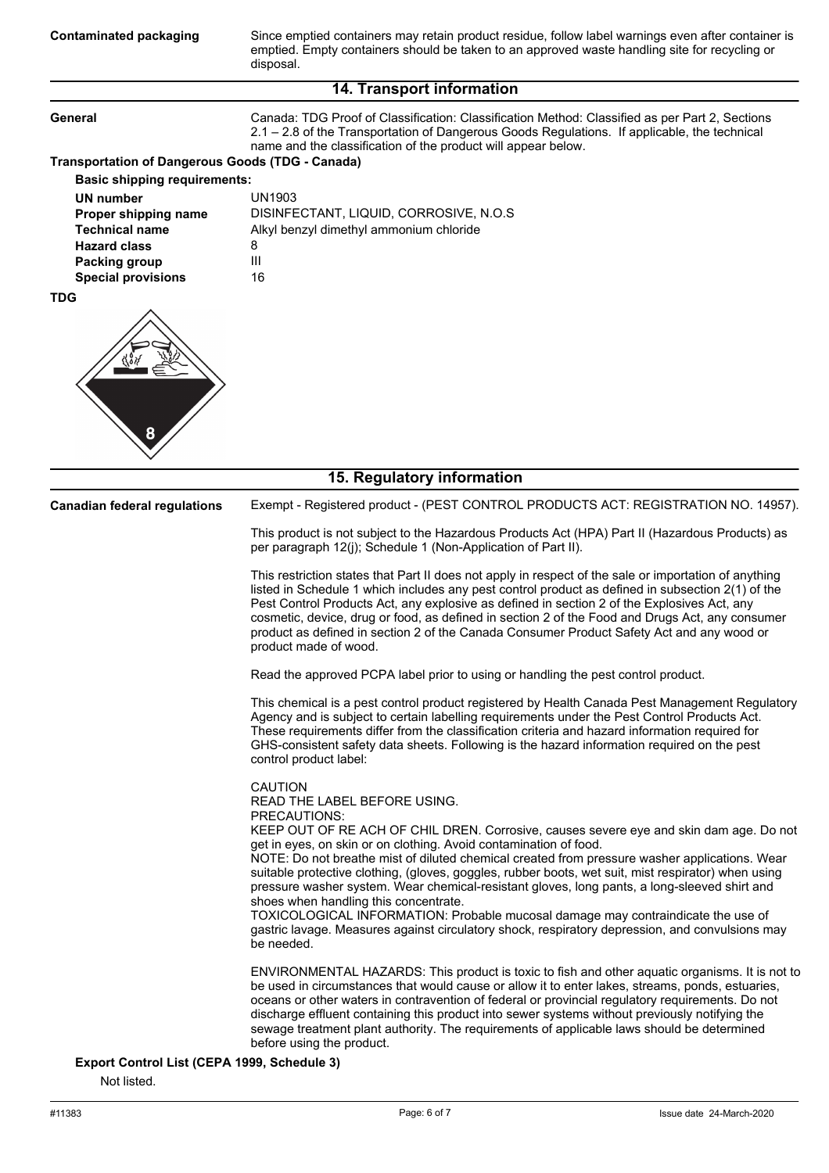**Contaminated packaging**

Since emptied containers may retain product residue, follow label warnings even after container is emptied. Empty containers should be taken to an approved waste handling site for recycling or disposal.

### **14. Transport information**

| General                                                    | Canada: TDG Proof of Classification: Classification Method: Classified as per Part 2, Sections<br>2.1 - 2.8 of the Transportation of Dangerous Goods Regulations. If applicable, the technical<br>name and the classification of the product will appear below.                                                                                                                                                                                                                                                                                                                                                                                                                                                   |  |  |
|------------------------------------------------------------|-------------------------------------------------------------------------------------------------------------------------------------------------------------------------------------------------------------------------------------------------------------------------------------------------------------------------------------------------------------------------------------------------------------------------------------------------------------------------------------------------------------------------------------------------------------------------------------------------------------------------------------------------------------------------------------------------------------------|--|--|
| <b>Transportation of Dangerous Goods (TDG - Canada)</b>    |                                                                                                                                                                                                                                                                                                                                                                                                                                                                                                                                                                                                                                                                                                                   |  |  |
| <b>Basic shipping requirements:</b>                        |                                                                                                                                                                                                                                                                                                                                                                                                                                                                                                                                                                                                                                                                                                                   |  |  |
| UN number                                                  | <b>UN1903</b>                                                                                                                                                                                                                                                                                                                                                                                                                                                                                                                                                                                                                                                                                                     |  |  |
| Proper shipping name                                       | DISINFECTANT, LIQUID, CORROSIVE, N.O.S                                                                                                                                                                                                                                                                                                                                                                                                                                                                                                                                                                                                                                                                            |  |  |
| <b>Technical name</b>                                      | Alkyl benzyl dimethyl ammonium chloride                                                                                                                                                                                                                                                                                                                                                                                                                                                                                                                                                                                                                                                                           |  |  |
| <b>Hazard class</b>                                        | 8<br>Ш                                                                                                                                                                                                                                                                                                                                                                                                                                                                                                                                                                                                                                                                                                            |  |  |
| <b>Packing group</b><br><b>Special provisions</b>          | 16                                                                                                                                                                                                                                                                                                                                                                                                                                                                                                                                                                                                                                                                                                                |  |  |
| <b>TDG</b>                                                 |                                                                                                                                                                                                                                                                                                                                                                                                                                                                                                                                                                                                                                                                                                                   |  |  |
| 8                                                          |                                                                                                                                                                                                                                                                                                                                                                                                                                                                                                                                                                                                                                                                                                                   |  |  |
|                                                            | 15. Regulatory information                                                                                                                                                                                                                                                                                                                                                                                                                                                                                                                                                                                                                                                                                        |  |  |
| <b>Canadian federal regulations</b>                        | Exempt - Registered product - (PEST CONTROL PRODUCTS ACT: REGISTRATION NO. 14957).                                                                                                                                                                                                                                                                                                                                                                                                                                                                                                                                                                                                                                |  |  |
|                                                            | This product is not subject to the Hazardous Products Act (HPA) Part II (Hazardous Products) as<br>per paragraph 12(j); Schedule 1 (Non-Application of Part II).                                                                                                                                                                                                                                                                                                                                                                                                                                                                                                                                                  |  |  |
|                                                            | This restriction states that Part II does not apply in respect of the sale or importation of anything<br>listed in Schedule 1 which includes any pest control product as defined in subsection 2(1) of the<br>Pest Control Products Act, any explosive as defined in section 2 of the Explosives Act, any<br>cosmetic, device, drug or food, as defined in section 2 of the Food and Drugs Act, any consumer<br>product as defined in section 2 of the Canada Consumer Product Safety Act and any wood or<br>product made of wood.                                                                                                                                                                                |  |  |
|                                                            | Read the approved PCPA label prior to using or handling the pest control product.                                                                                                                                                                                                                                                                                                                                                                                                                                                                                                                                                                                                                                 |  |  |
|                                                            | This chemical is a pest control product registered by Health Canada Pest Management Regulatory<br>Agency and is subject to certain labelling requirements under the Pest Control Products Act.<br>These requirements differ from the classification criteria and hazard information required for<br>GHS-consistent safety data sheets. Following is the hazard information required on the pest<br>control product label:                                                                                                                                                                                                                                                                                         |  |  |
|                                                            | <b>CAUTION</b><br>READ THE LABEL BEFORE USING.<br>PRECAUTIONS:                                                                                                                                                                                                                                                                                                                                                                                                                                                                                                                                                                                                                                                    |  |  |
|                                                            | KEEP OUT OF RE ACH OF CHIL DREN. Corrosive, causes severe eye and skin dam age. Do not<br>get in eyes, on skin or on clothing. Avoid contamination of food.<br>NOTE: Do not breathe mist of diluted chemical created from pressure washer applications. Wear<br>suitable protective clothing, (gloves, goggles, rubber boots, wet suit, mist respirator) when using<br>pressure washer system. Wear chemical-resistant gloves, long pants, a long-sleeved shirt and<br>shoes when handling this concentrate.<br>TOXICOLOGICAL INFORMATION: Probable mucosal damage may contraindicate the use of<br>gastric lavage. Measures against circulatory shock, respiratory depression, and convulsions may<br>be needed. |  |  |
|                                                            | ENVIRONMENTAL HAZARDS: This product is toxic to fish and other aquatic organisms. It is not to<br>be used in circumstances that would cause or allow it to enter lakes, streams, ponds, estuaries,<br>oceans or other waters in contravention of federal or provincial regulatory requirements. Do not<br>discharge effluent containing this product into sewer systems without previously notifying the<br>sewage treatment plant authority. The requirements of applicable laws should be determined<br>before using the product.                                                                                                                                                                               |  |  |
| Export Control List (CEPA 1999, Schedule 3)<br>Not listed. |                                                                                                                                                                                                                                                                                                                                                                                                                                                                                                                                                                                                                                                                                                                   |  |  |